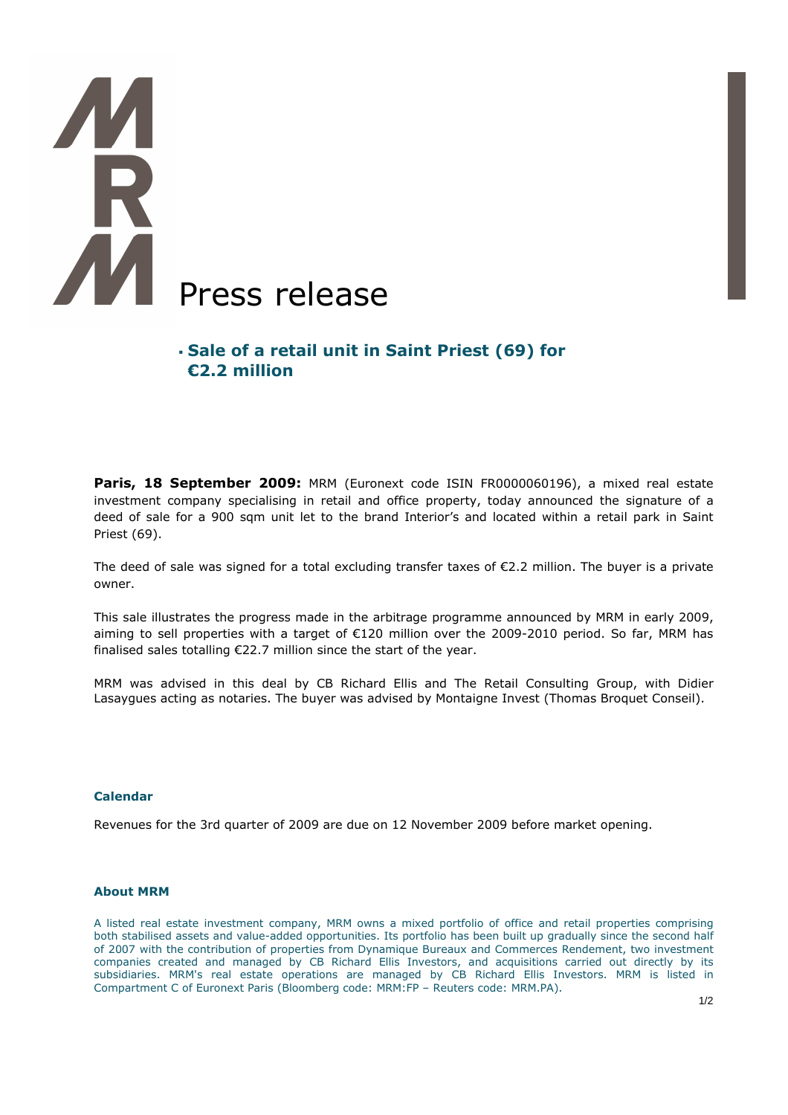# R Press release

# **Sale of a retail unit in Saint Priest (69) for €2.2 million**

**Paris, 18 September 2009:** MRM (Euronext code ISIN FR0000060196), a mixed real estate investment company specialising in retail and office property, today announced the signature of a deed of sale for a 900 sqm unit let to the brand Interior's and located within a retail park in Saint Priest (69).

The deed of sale was signed for a total excluding transfer taxes of  $\epsilon$ 2.2 million. The buyer is a private owner.

This sale illustrates the progress made in the arbitrage programme announced by MRM in early 2009, aiming to sell properties with a target of €120 million over the 2009-2010 period. So far, MRM has finalised sales totalling €22.7 million since the start of the year.

MRM was advised in this deal by CB Richard Ellis and The Retail Consulting Group, with Didier Lasaygues acting as notaries. The buyer was advised by Montaigne Invest (Thomas Broquet Conseil).

### **Calendar**

Revenues for the 3rd quarter of 2009 are due on 12 November 2009 before market opening.

### **About MRM**

A listed real estate investment company, MRM owns a mixed portfolio of office and retail properties comprising both stabilised assets and value-added opportunities. Its portfolio has been built up gradually since the second half of 2007 with the contribution of properties from Dynamique Bureaux and Commerces Rendement, two investment companies created and managed by CB Richard Ellis Investors, and acquisitions carried out directly by its subsidiaries. MRM's real estate operations are managed by CB Richard Ellis Investors. MRM is listed in Compartment C of Euronext Paris (Bloomberg code: MRM:FP – Reuters code: MRM.PA).